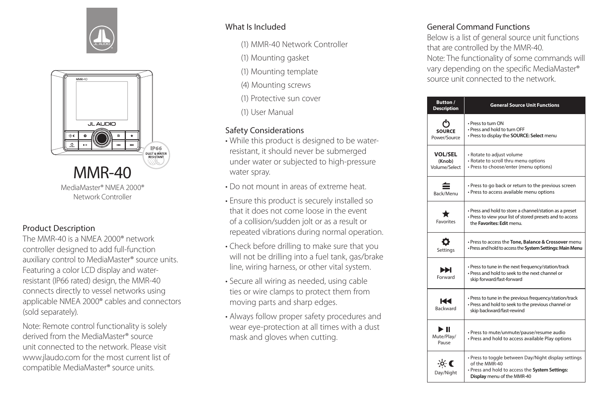



## Product Description

The MMR-40 is a NMEA 2000® network controller designed to add full-function auxiliary control to MediaMaster® source units. Featuring a color LCD display and waterresistant (IP66 rated) design, the MMR-40 connects directly to vessel networks using applicable NMEA 2000® cables and connectors (sold separately).

Note: Remote control functionality is solely derived from the MediaMaster® source unit connected to the network. Please visit www.jlaudo.com for the most current list of compatible MediaMaster® source units.

# What Is Included

- (1) MMR-40 Network Controller
- (1) Mounting gasket
- (1) Mounting template
- (4) Mounting screws
- (1) Protective sun cover
- (1) User Manual

# Safety Considerations

- While this product is designed to be waterresistant, it should never be submerged under water or subjected to high-pressure water spray.
- Do not mount in areas of extreme heat.
- Ensure this product is securely installed so that it does not come loose in the event of a collision/sudden jolt or as a result or repeated vibrations during normal operation.
- Check before drilling to make sure that you will not be drilling into a fuel tank, gas/brake line, wiring harness, or other vital system.
- Secure all wiring as needed, using cable ties or wire clamps to protect them from moving parts and sharp edges.
- Always follow proper safety procedures and wear eye-protection at all times with a dust mask and gloves when cutting.

## General Command Functions

Below is a list of general source unit functions that are controlled by the MMR-40. Note: The functionality of some commands will vary depending on the specific MediaMaster® source unit connected to the network.

| Button /<br><b>Description</b>            | <b>General Source Unit Functions</b>                                                                                                                   |
|-------------------------------------------|--------------------------------------------------------------------------------------------------------------------------------------------------------|
| <b>SOURCE</b><br>Power/Source             | • Press to turn ON<br>• Press and hold to turn OFF<br>· Press to display the SOURCE: Select menu                                                       |
| <b>VOL/SEL</b><br>(Knob)<br>Volume/Select | • Rotate to adjust volume<br>• Rotate to scroll thru menu options<br>· Press to choose/enter (menu options)                                            |
| Back/Menu                                 | · Press to go back or return to the previous screen<br>· Press to access available menu options                                                        |
| <b>Favorites</b>                          | · Press and hold to store a channel/station as a preset<br>• Press to view your list of stored presets and to access<br>the Favorites: Edit menu.      |
| o<br>Settings                             | · Press to access the Tone, Balance & Crossover menu<br>· Press and hold to access the System Settings: Main Menu                                      |
| ÞЫ<br>Forward                             | · Press to tune in the next frequency/station/track<br>. Press and hold to seek to the next channel or<br>skip forward/fast-forward                    |
| ЮН<br><b>Backward</b>                     | · Press to tune in the previous frequency/station/track<br>· Press and hold to seek to the previous channel or<br>skip backward/fast-rewind            |
| ÞШ<br>Mute/Play/<br>Pause                 | · Press to mute/unmute/pause/resume audio<br>· Press and hold to access available Play options                                                         |
| $\phi$ (<br>Day/Night                     | · Press to toggle between Day/Night display settings<br>of the MMR-40<br>· Press and hold to access the System Settings:<br>Display menu of the MMR-40 |